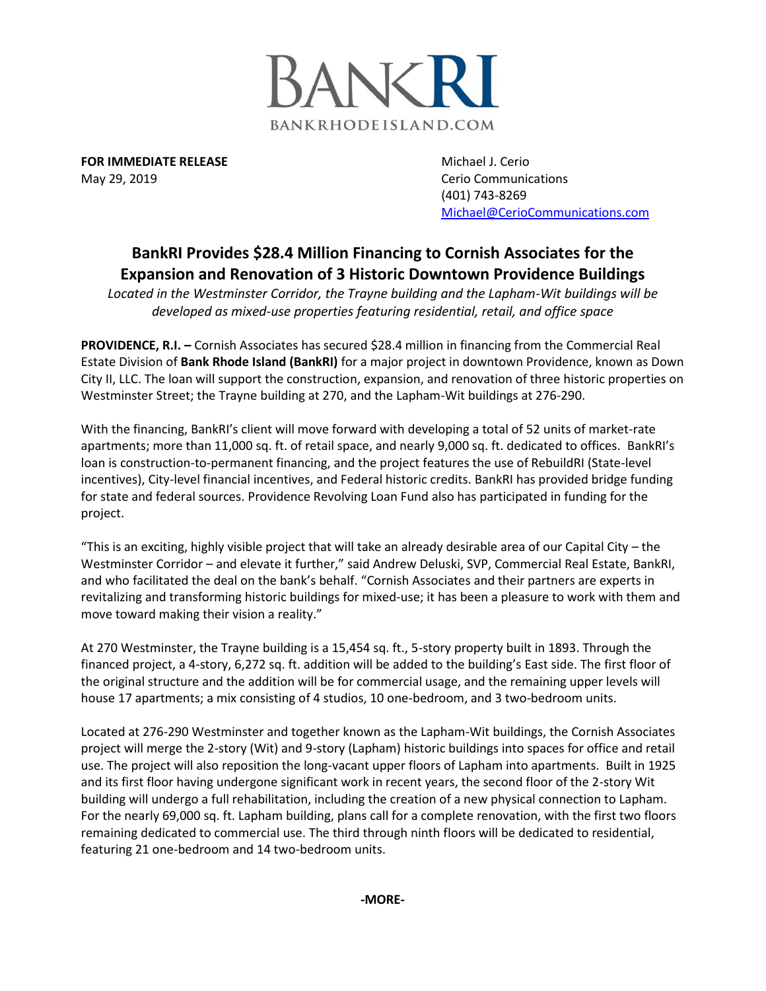

**FOR IMMEDIATE RELEASE** Michael J. Cerio May 29, 2019 **Cerio Communications** Cerio Communications

(401) 743-8269 [Michael@CerioCommunications.com](mailto:Michael@CerioCommunications.com)

## **BankRI Provides \$28.4 Million Financing to Cornish Associates for the Expansion and Renovation of 3 Historic Downtown Providence Buildings**

*Located in the Westminster Corridor, the Trayne building and the Lapham-Wit buildings will be developed as mixed-use properties featuring residential, retail, and office space*

**PROVIDENCE, R.I. –** Cornish Associates has secured \$28.4 million in financing from the Commercial Real Estate Division of **Bank Rhode Island (BankRI)** for a major project in downtown Providence, known as Down City II, LLC. The loan will support the construction, expansion, and renovation of three historic properties on Westminster Street; the Trayne building at 270, and the Lapham-Wit buildings at 276-290.

With the financing, BankRI's client will move forward with developing a total of 52 units of market-rate apartments; more than 11,000 sq. ft. of retail space, and nearly 9,000 sq. ft. dedicated to offices. BankRI's loan is construction-to-permanent financing, and the project features the use of RebuildRI (State-level incentives), City-level financial incentives, and Federal historic credits. BankRI has provided bridge funding for state and federal sources. Providence Revolving Loan Fund also has participated in funding for the project.

"This is an exciting, highly visible project that will take an already desirable area of our Capital City – the Westminster Corridor – and elevate it further," said Andrew Deluski, SVP, Commercial Real Estate, BankRI, and who facilitated the deal on the bank's behalf. "Cornish Associates and their partners are experts in revitalizing and transforming historic buildings for mixed-use; it has been a pleasure to work with them and move toward making their vision a reality."

At 270 Westminster, the Trayne building is a 15,454 sq. ft., 5-story property built in 1893. Through the financed project, a 4-story, 6,272 sq. ft. addition will be added to the building's East side. The first floor of the original structure and the addition will be for commercial usage, and the remaining upper levels will house 17 apartments; a mix consisting of 4 studios, 10 one-bedroom, and 3 two-bedroom units.

Located at 276-290 Westminster and together known as the Lapham-Wit buildings, the Cornish Associates project will merge the 2-story (Wit) and 9-story (Lapham) historic buildings into spaces for office and retail use. The project will also reposition the long-vacant upper floors of Lapham into apartments. Built in 1925 and its first floor having undergone significant work in recent years, the second floor of the 2-story Wit building will undergo a full rehabilitation, including the creation of a new physical connection to Lapham. For the nearly 69,000 sq. ft. Lapham building, plans call for a complete renovation, with the first two floors remaining dedicated to commercial use. The third through ninth floors will be dedicated to residential, featuring 21 one-bedroom and 14 two-bedroom units.